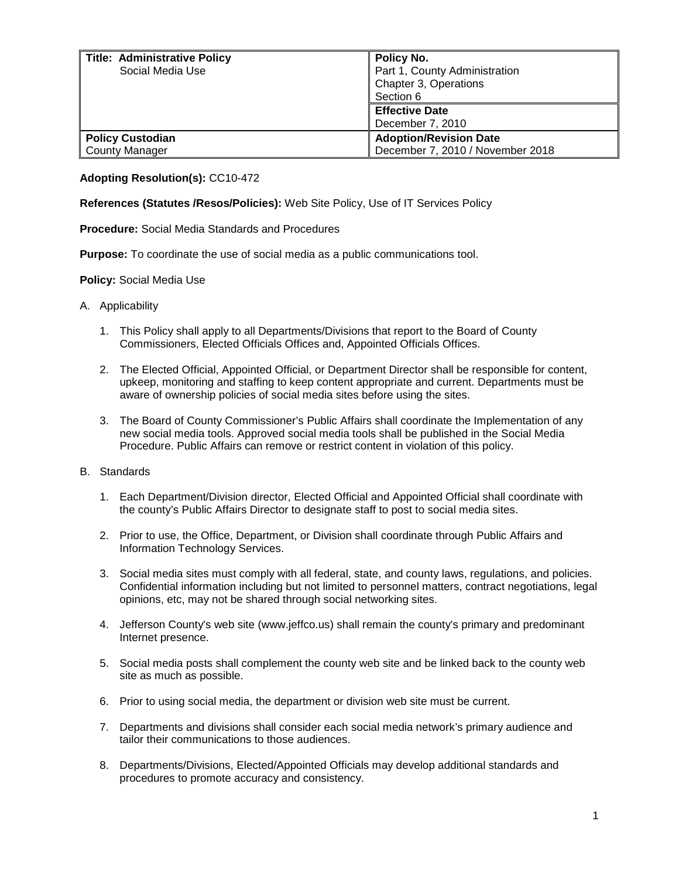| <b>Title: Administrative Policy</b> | Policy No.                       |
|-------------------------------------|----------------------------------|
| Social Media Use                    | Part 1, County Administration    |
|                                     | Chapter 3, Operations            |
|                                     | Section 6                        |
|                                     | <b>Effective Date</b>            |
|                                     | December 7, 2010                 |
| <b>Policy Custodian</b>             | <b>Adoption/Revision Date</b>    |
| <b>County Manager</b>               | December 7, 2010 / November 2018 |

## **Adopting Resolution(s):** CC10-472

**References (Statutes /Resos/Policies):** Web Site Policy, Use of IT Services Policy

**Procedure:** Social Media Standards and Procedures

**Purpose:** To coordinate the use of social media as a public communications tool.

## **Policy:** Social Media Use

- A. Applicability
	- 1. This Policy shall apply to all Departments/Divisions that report to the Board of County Commissioners, Elected Officials Offices and, Appointed Officials Offices.
	- 2. The Elected Official, Appointed Official, or Department Director shall be responsible for content, upkeep, monitoring and staffing to keep content appropriate and current. Departments must be aware of ownership policies of social media sites before using the sites.
	- 3. The Board of County Commissioner's Public Affairs shall coordinate the Implementation of any new social media tools. Approved social media tools shall be published in the Social Media Procedure. Public Affairs can remove or restrict content in violation of this policy.

## B. Standards

- 1. Each Department/Division director, Elected Official and Appointed Official shall coordinate with the county's Public Affairs Director to designate staff to post to social media sites.
- 2. Prior to use, the Office, Department, or Division shall coordinate through Public Affairs and Information Technology Services.
- 3. Social media sites must comply with all federal, state, and county laws, regulations, and policies. Confidential information including but not limited to personnel matters, contract negotiations, legal opinions, etc, may not be shared through social networking sites.
- 4. Jefferson County's web site (www.jeffco.us) shall remain the county's primary and predominant Internet presence.
- 5. Social media posts shall complement the county web site and be linked back to the county web site as much as possible.
- 6. Prior to using social media, the department or division web site must be current.
- 7. Departments and divisions shall consider each social media network's primary audience and tailor their communications to those audiences.
- 8. Departments/Divisions, Elected/Appointed Officials may develop additional standards and procedures to promote accuracy and consistency.